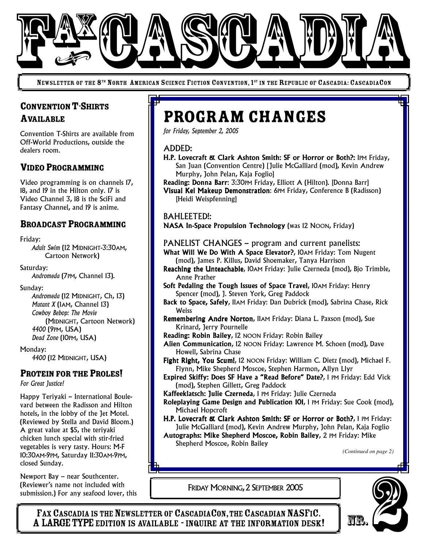

NEWSLETTER OF THE 8<sup>th</sup> North American Science Fiction Convention, 1<sup>st</sup> in the Republic of Cascadia: CascadiaCon

# CONVENTION T-SHIRTS AVAILABLE

Convention T-Shirts are available from Off-World Productions, outside the dealers room.

## VIDEO PROGRAMMING

Video programming is on channels 17, 18, and 19 in the Hilton only. 17 is Video Channel 3, 18 is the SciFi and Fantasy Channel, and 19 is anime.

## BROADCAST PROGRAMMING

#### Friday:

*Adult Swim* (12 MIDNIGHT-3:30AM, Cartoon Network)

Saturday:

*Andromeda* (7PM, Channel 13).

#### Sunday:

*Andromeda* (12 MIDNIGHT, Ch, 13) *Mutant X* (1AM, Channel 13) *Cowboy Bebop: The Movie* (MIDNIGHT, Cartoon Network) *4400* (9PM, USA) *Dead Zone* (10PM, USA)

Monday:

*4400* (12 MIDNIGHT, USA)

### PROTEIN FOR THE PROLES!

*For Great Justice!*

Happy Teriyaki – International Boulevard between the Radisson and Hilton hotels, in the lobby of the Jet Motel. (Reviewed by Stella and David Bloom.) A great value at \$5, the teriyaki chicken lunch special with stir-fried vegetables is very tasty. Hours: M-F 10:30AM-9PM, Saturday 11:30AM-9PM, closed Sunday.

Newport Bay – near Southcenter. (Reviewer's name not included with submission.) For any seafood lover, this

# Program Changes

*for Friday, September 2, 2005*

#### ADDED:

- H.P. Lovecraft & Clark Ashton Smith: SF or Horror or Both?: 1PM Friday, San Juan (Convention Centre) [Julie McGalliard (mod), Kevin Andrew Murphy, John Pelan, Kaja Foglio]
- Reading: Donna Barr: 3:30PM Friday, Elliott A (Hilton). [Donna Barr] Visual Kei Makeup Demonstration: 6PM Friday, Conference B (Radisson) [Heidi Weispfenning]

#### BAHLEETED!:

NASA In-Space Propulsion Technology (was 12 NOON, Friday)

#### PANELIST CHANGES – program and current panelists:

- What Will We Do With A Space Elevator?, 10AM Friday: Tom Nugent (mod), James P. Killus, David Shoemaker, Tanya Harrison
- Reaching the Unteachable, 10AM Friday: Julie Czerneda (mod), Bjo Trimble, Anne Prather
- Soft Pedaling the Tough Issues of Space Travel, 10AM Friday: Henry Spencer (mod), J. Steven York, Greg Paddock
- Back to Space, Safely, IlAM Friday: Dan Dubrick (mod), Sabrina Chase, Rick **Weiss**
- Remembering Andre Norton, 11AM Friday: Diana L. Paxson (mod), Sue Krinard, Jerry Pournelle
- Reading: Robin Bailey, 12 NOON Friday: Robin Bailey
- Alien Communication, 12 NOON Friday: Lawrence M. Schoen (mod), Dave Howell, Sabrina Chase
- Fight Right, You Scum!, 12 NOON Friday: William C. Dietz (mod), Michael F. Flynn, Mike Shepherd Moscoe, Stephen Harmon, Allyn Llyr
- Expired Skiffy: Does SF Have a "Read Before" Date?, 1 PM Friday: Edd Vick (mod), Stephen Gillett, Greg Paddock
- Kaffeeklatsch: Julie Czerneda, 1 PM Friday: Julie Czerneda
- Roleplaying Game Design and Publication 101, 1 PM Friday: Sue Cook (mod), Michael Hopcroft
- H.P. Lovecraft & Clark Ashton Smith: SF or Horror or Both?, 1 PM Friday: Julie McGalliard (mod), Kevin Andrew Murphy, John Pelan, Kaja Foglio Autographs: Mike Shepherd Moscoe, Robin Bailey, 2 PM Friday: Mike

Shepherd Moscoe, Robin Bailey

*(Continued on page 2)*

FRIDAY MORNING,2 SEPTEMBER 2005

FAX CASCADIA IS THE NEWSLETTER OF CASCADIACON, THE CASCADIAN NASFIC.<br>A LARGE TYPE EDITION IS AVAILABLE - INQUIRE AT THE INFORMATION DESK! Frax Cascapia Is The Newsletter.<br>
FRIDAY MORNING, 2 SEPTEMBER 2005<br>
FAX CASCADIA IS THE NEWSLETTER OF CASCADIACON, THE CASCADIAN NASFIC.<br>
A LARGE TYPE EDITION IS AVAILABLE - INQUIRE AT THE INFORMATION DESK!